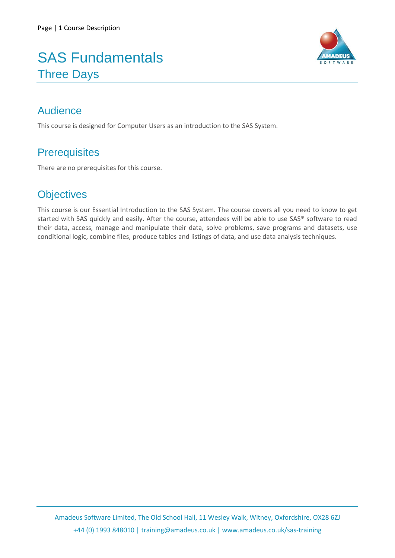# SAS Fundamentals Three Days



## Audience

This course is designed for Computer Users as an introduction to the SAS System.

## **Prerequisites**

There are no prerequisites for this course.

## **Objectives**

This course is our Essential Introduction to the SAS System. The course covers all you need to know to get started with SAS quickly and easily. After the course, attendees will be able to use SAS® software to read their data, access, manage and manipulate their data, solve problems, save programs and datasets, use conditional logic, combine files, produce tables and listings of data, and use data analysis techniques.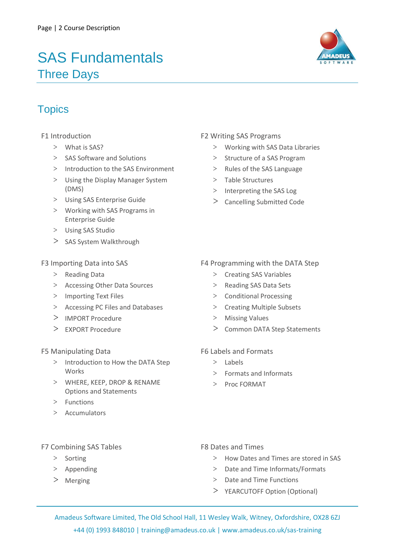# SAS Fundamentals Three Days



### **Topics**

- F1 Introduction
	- > What is SAS?
	- > SAS Software and Solutions
	- > Introduction to the SAS Environment
	- > Using the Display Manager System (DMS)
	- > Using SAS Enterprise Guide
	- > Working with SAS Programs in Enterprise Guide
	- > Using SAS Studio
	- > SAS System Walkthrough

#### F3 Importing Data into SAS

- > Reading Data
- > Accessing Other Data Sources
- > Importing Text Files
- > Accessing PC Files and Databases
- > IMPORT Procedure
- > EXPORT Procedure

#### F5 Manipulating Data

- > Introduction to How the DATA Step Works
- > WHERE, KEEP, DROP & RENAME Options and Statements
- > Functions
- > Accumulators

### F2 Writing SAS Programs

- > Working with SAS Data Libraries
- > Structure of a SAS Program
- > Rules of the SAS Language
- > Table Structures
- > Interpreting the SAS Log
- > Cancelling Submitted Code

#### F4 Programming with the DATA Step

- > Creating SAS Variables
- > Reading SAS Data Sets
- > Conditional Processing
- > Creating Multiple Subsets
- > Missing Values
- > Common DATA Step Statements

#### F6 Labels and Formats

- > Labels
- > Formats and Informats
- > Proc FORMAT

#### F7 Combining SAS Tables

- > Sorting
- > Appending
- > Merging
- F8 Dates and Times
	- > How Dates and Times are stored in SAS
	- > Date and Time Informats/Formats
	- > Date and Time Functions
	- > YEARCUTOFF Option (Optional)

Amadeus Software Limited, The Old School Hall, 11 Wesley Walk, Witney, Oxfordshire, OX28 6ZJ +44 (0) 1993 848010 | training@amadeus.co.uk | www.amadeus.co.uk/sas-training